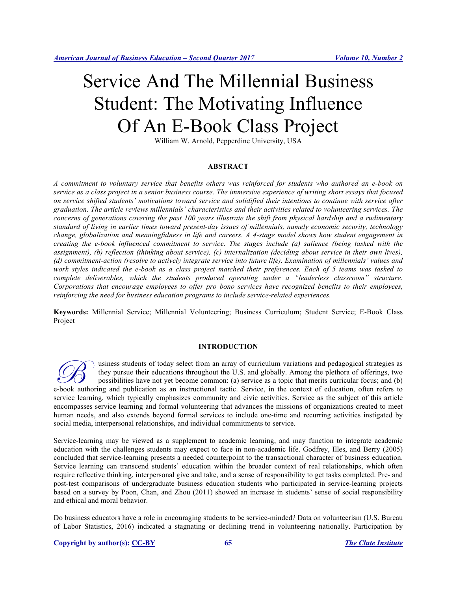# Service And The Millennial Business Student: The Motivating Influence Of An E-Book Class Project

William W. Arnold, Pepperdine University, USA

#### **ABSTRACT**

*A commitment to voluntary service that benefits others was reinforced for students who authored an e-book on service as a class project in a senior business course. The immersive experience of writing short essays that focused on service shifted students' motivations toward service and solidified their intentions to continue with service after graduation. The article reviews millennials' characteristics and their activities related to volunteering services. The concerns of generations covering the past 100 years illustrate the shift from physical hardship and a rudimentary standard of living in earlier times toward present-day issues of millennials, namely economic security, technology change, globalization and meaningfulness in life and careers. A 4-stage model shows how student engagement in creating the e-book influenced commitment to service. The stages include (a) salience (being tasked with the assignment), (b) reflection (thinking about service), (c) internalization (deciding about service in their own lives), (d) commitment-action (resolve to actively integrate service into future life). Examination of millennials' values and work styles indicated the e-book as a class project matched their preferences. Each of 5 teams was tasked to complete deliverables, which the students produced operating under a "leaderless classroom" structure. Corporations that encourage employees to offer pro bono services have recognized benefits to their employees, reinforcing the need for business education programs to include service-related experiences.*

**Keywords:** Millennial Service; Millennial Volunteering; Business Curriculum; Student Service; E-Book Class Project

#### **INTRODUCTION**

usiness students of today select from an array of curriculum variations and pedagogical strategies as they pursue their educations throughout the U.S. and globally. Among the plethora of offerings, two possibilities have not yet become common: (a) service as a topic that merits curricular focus; and (b) **EXECUTE:** U.S. and globally. Among the plethora of offerings, two possibilities have not yet become common: (a) service as a topic that merits curricular focus; and (b) e-book authoring and publication as an instructional service learning, which typically emphasizes community and civic activities. Service as the subject of this article encompasses service learning and formal volunteering that advances the missions of organizations created to meet human needs, and also extends beyond formal services to include one-time and recurring activities instigated by social media, interpersonal relationships, and individual commitments to service.

Service-learning may be viewed as a supplement to academic learning, and may function to integrate academic education with the challenges students may expect to face in non-academic life. Godfrey, Illes, and Berry (2005) concluded that service-learning presents a needed counterpoint to the transactional character of business education. Service learning can transcend students' education within the broader context of real relationships, which often require reflective thinking, interpersonal give and take, and a sense of responsibility to get tasks completed. Pre- and post-test comparisons of undergraduate business education students who participated in service-learning projects based on a survey by Poon, Chan, and Zhou (2011) showed an increase in students' sense of social responsibility and ethical and moral behavior.

Do business educators have a role in encouraging students to be service-minded? Data on volunteerism (U.S. Bureau of Labor Statistics, 2016) indicated a stagnating or declining trend in volunteering nationally. Participation by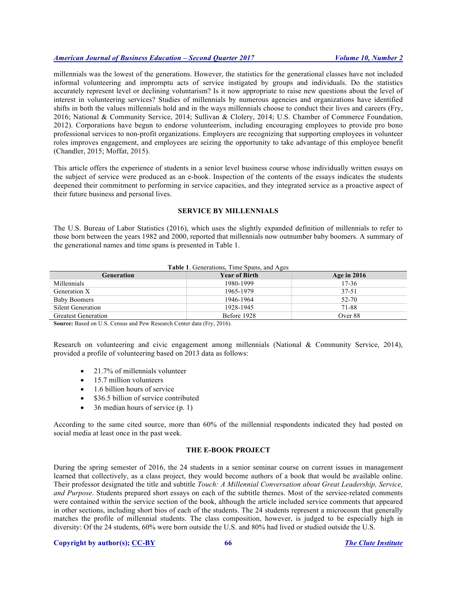millennials was the lowest of the generations. However, the statistics for the generational classes have not included informal volunteering and impromptu acts of service instigated by groups and individuals. Do the statistics accurately represent level or declining voluntarism? Is it now appropriate to raise new questions about the level of interest in volunteering services? Studies of millennials by numerous agencies and organizations have identified shifts in both the values millennials hold and in the ways millennials choose to conduct their lives and careers (Fry, 2016; National & Community Service, 2014; Sullivan & Clolery, 2014; U.S. Chamber of Commerce Foundation, 2012). Corporations have begun to endorse volunteerism, including encouraging employees to provide pro bono professional services to non-profit organizations. Employers are recognizing that supporting employees in volunteer roles improves engagement, and employees are seizing the opportunity to take advantage of this employee benefit (Chandler, 2015; Moffat, 2015).

This article offers the experience of students in a senior level business course whose individually written essays on the subject of service were produced as an e-book. Inspection of the contents of the essays indicates the students deepened their commitment to performing in service capacities, and they integrated service as a proactive aspect of their future business and personal lives.

#### **SERVICE BY MILLENNIALS**

The U.S. Bureau of Labor Statistics (2016), which uses the slightly expanded definition of millennials to refer to those born between the years 1982 and 2000, reported that millennials now outnumber baby boomers. A summary of the generational names and time spans is presented in Table 1.

| Table 1. Generations, Time Spans, and Ages |  |  |  |  |
|--------------------------------------------|--|--|--|--|
|--------------------------------------------|--|--|--|--|

| <b>Generation</b>          | <b>Year of Birth</b> | Age in $2016$ |
|----------------------------|----------------------|---------------|
| Millennials                | 1980-1999            | $17 - 36$     |
| Generation X               | 1965-1979            | 37-51         |
| Baby Boomers               | 1946-1964            | 52-70         |
| Silent Generation          | 1928-1945            | 71-88         |
| <b>Greatest Generation</b> | Before 1928          | Over 88       |

**Source:** Based on U.S. Census and Pew Research Center data (Fry, 2016).

Research on volunteering and civic engagement among millennials (National & Community Service, 2014), provided a profile of volunteering based on 2013 data as follows:

- 21.7% of millennials volunteer
- 15.7 million volunteers
- 1.6 billion hours of service
- \$36.5 billion of service contributed
- 36 median hours of service (p. 1)

According to the same cited source, more than 60% of the millennial respondents indicated they had posted on social media at least once in the past week.

## **THE E-BOOK PROJECT**

During the spring semester of 2016, the 24 students in a senior seminar course on current issues in management learned that collectively, as a class project, they would become authors of a book that would be available online. Their professor designated the title and subtitle *Touch: A Millennial Conversation about Great Leadership, Service, and Purpose*. Students prepared short essays on each of the subtitle themes. Most of the service-related comments were contained within the service section of the book, although the article included service comments that appeared in other sections, including short bios of each of the students. The 24 students represent a microcosm that generally matches the profile of millennial students. The class composition, however, is judged to be especially high in diversity: Of the 24 students, 60% were born outside the U.S. and 80% had lived or studied outside the U.S.

#### **Copyright by author(s); CC-BY 66** *The Clute Institute*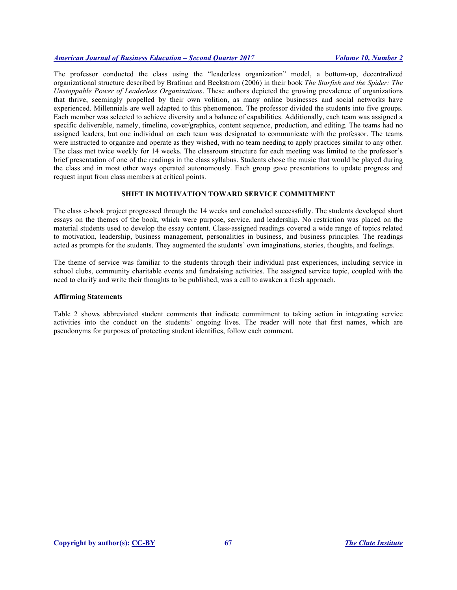The professor conducted the class using the "leaderless organization" model, a bottom-up, decentralized organizational structure described by Brafman and Beckstrom (2006) in their book *The Starfish and the Spider: The Unstoppable Power of Leaderless Organizations*. These authors depicted the growing prevalence of organizations that thrive, seemingly propelled by their own volition, as many online businesses and social networks have experienced. Millennials are well adapted to this phenomenon. The professor divided the students into five groups. Each member was selected to achieve diversity and a balance of capabilities. Additionally, each team was assigned a specific deliverable, namely, timeline, cover/graphics, content sequence, production, and editing. The teams had no assigned leaders, but one individual on each team was designated to communicate with the professor. The teams were instructed to organize and operate as they wished, with no team needing to apply practices similar to any other. The class met twice weekly for 14 weeks. The classroom structure for each meeting was limited to the professor's brief presentation of one of the readings in the class syllabus. Students chose the music that would be played during the class and in most other ways operated autonomously. Each group gave presentations to update progress and request input from class members at critical points.

# **SHIFT IN MOTIVATION TOWARD SERVICE COMMITMENT**

The class e-book project progressed through the 14 weeks and concluded successfully. The students developed short essays on the themes of the book, which were purpose, service, and leadership. No restriction was placed on the material students used to develop the essay content. Class-assigned readings covered a wide range of topics related to motivation, leadership, business management, personalities in business, and business principles. The readings acted as prompts for the students. They augmented the students' own imaginations, stories, thoughts, and feelings.

The theme of service was familiar to the students through their individual past experiences, including service in school clubs, community charitable events and fundraising activities. The assigned service topic, coupled with the need to clarify and write their thoughts to be published, was a call to awaken a fresh approach.

#### **Affirming Statements**

Table 2 shows abbreviated student comments that indicate commitment to taking action in integrating service activities into the conduct on the students' ongoing lives. The reader will note that first names, which are pseudonyms for purposes of protecting student identifies, follow each comment.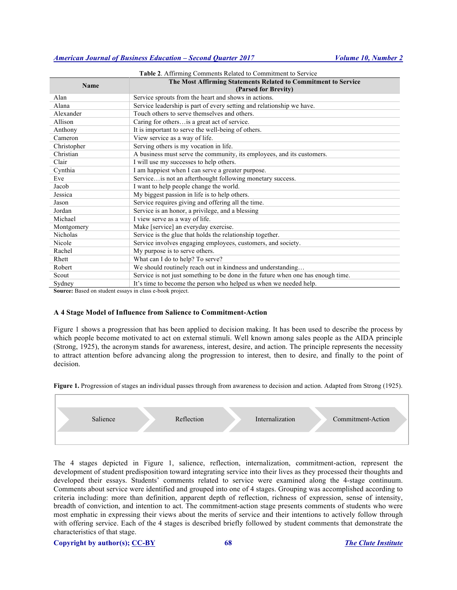| <b>Name</b>                                             | The Most Affirming Statements Related to Commitment to Service                   |  |
|---------------------------------------------------------|----------------------------------------------------------------------------------|--|
|                                                         | (Parsed for Brevity)                                                             |  |
| Alan                                                    | Service sprouts from the heart and shows in actions.                             |  |
| Alana                                                   | Service leadership is part of every setting and relationship we have.            |  |
| Alexander                                               | Touch others to serve themselves and others.                                     |  |
| Allison                                                 | Caring for others is a great act of service.                                     |  |
| Anthony                                                 | It is important to serve the well-being of others.                               |  |
| Cameron                                                 | View service as a way of life.                                                   |  |
| Christopher                                             | Serving others is my vocation in life.                                           |  |
| Christian                                               | A business must serve the community, its employees, and its customers.           |  |
| Clair                                                   | I will use my successes to help others.                                          |  |
| Cynthia                                                 | I am happiest when I can serve a greater purpose.                                |  |
| Eve                                                     | Service is not an afterthought following monetary success.                       |  |
| Jacob                                                   | I want to help people change the world.                                          |  |
| Jessica                                                 | My biggest passion in life is to help others.                                    |  |
| Jason                                                   | Service requires giving and offering all the time.                               |  |
| Jordan                                                  | Service is an honor, a privilege, and a blessing                                 |  |
| Michael                                                 | I view serve as a way of life.                                                   |  |
| Montgomery                                              | Make [service] an everyday exercise.                                             |  |
| Nicholas                                                | Service is the glue that holds the relationship together.                        |  |
| Nicole                                                  | Service involves engaging employees, customers, and society.                     |  |
| Rachel                                                  | My purpose is to serve others.                                                   |  |
| Rhett                                                   | What can I do to help? To serve?                                                 |  |
| Robert                                                  | We should routinely reach out in kindness and understanding                      |  |
| Scout                                                   | Service is not just something to be done in the future when one has enough time. |  |
| Sydney                                                  | It's time to become the person who helped us when we needed help.                |  |
| Source: Based on student essays in class a book project |                                                                                  |  |

**Table 2**. Affirming Comments Related to Commitment to Service

**Source:** Based on student essays in class e-book project.

## **A 4 Stage Model of Influence from Salience to Commitment-Action**

Figure 1 shows a progression that has been applied to decision making. It has been used to describe the process by which people become motivated to act on external stimuli. Well known among sales people as the AIDA principle (Strong, 1925), the acronym stands for awareness, interest, desire, and action. The principle represents the necessity to attract attention before advancing along the progression to interest, then to desire, and finally to the point of decision.

**Figure 1.** Progression of stages an individual passes through from awareness to decision and action. Adapted from Strong (1925).



The 4 stages depicted in Figure 1, salience, reflection, internalization, commitment-action, represent the development of student predisposition toward integrating service into their lives as they processed their thoughts and developed their essays. Students' comments related to service were examined along the 4-stage continuum. Comments about service were identified and grouped into one of 4 stages. Grouping was accomplished according to criteria including: more than definition, apparent depth of reflection, richness of expression, sense of intensity, breadth of conviction, and intention to act. The commitment-action stage presents comments of students who were most emphatic in expressing their views about the merits of service and their intentions to actively follow through with offering service. Each of the 4 stages is described briefly followed by student comments that demonstrate the characteristics of that stage.

## **Copyright by author(s); CC-BY 68** *The Clute Institute*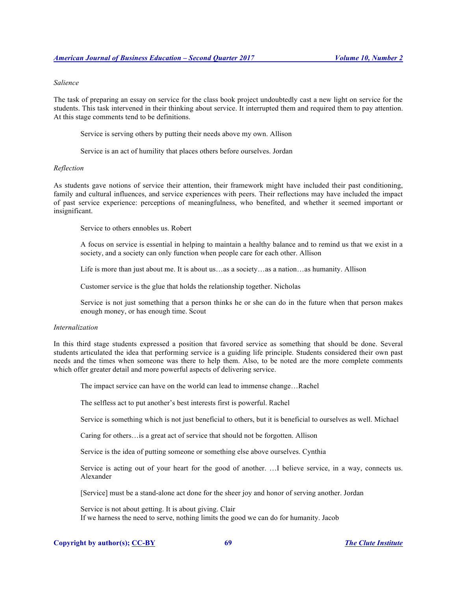#### *Salience*

The task of preparing an essay on service for the class book project undoubtedly cast a new light on service for the students. This task intervened in their thinking about service. It interrupted them and required them to pay attention. At this stage comments tend to be definitions.

Service is serving others by putting their needs above my own. Allison

Service is an act of humility that places others before ourselves. Jordan

# *Reflection*

As students gave notions of service their attention, their framework might have included their past conditioning, family and cultural influences, and service experiences with peers. Their reflections may have included the impact of past service experience: perceptions of meaningfulness, who benefited, and whether it seemed important or insignificant.

Service to others ennobles us. Robert

A focus on service is essential in helping to maintain a healthy balance and to remind us that we exist in a society, and a society can only function when people care for each other. Allison

Life is more than just about me. It is about us…as a society…as a nation…as humanity. Allison

Customer service is the glue that holds the relationship together. Nicholas

Service is not just something that a person thinks he or she can do in the future when that person makes enough money, or has enough time. Scout

## *Internalization*

In this third stage students expressed a position that favored service as something that should be done. Several students articulated the idea that performing service is a guiding life principle. Students considered their own past needs and the times when someone was there to help them. Also, to be noted are the more complete comments which offer greater detail and more powerful aspects of delivering service.

The impact service can have on the world can lead to immense change…Rachel

The selfless act to put another's best interests first is powerful. Rachel

Service is something which is not just beneficial to others, but it is beneficial to ourselves as well. Michael

Caring for others…is a great act of service that should not be forgotten. Allison

Service is the idea of putting someone or something else above ourselves. Cynthia

Service is acting out of your heart for the good of another. …I believe service, in a way, connects us. Alexander

[Service] must be a stand-alone act done for the sheer joy and honor of serving another. Jordan

Service is not about getting. It is about giving. Clair If we harness the need to serve, nothing limits the good we can do for humanity. Jacob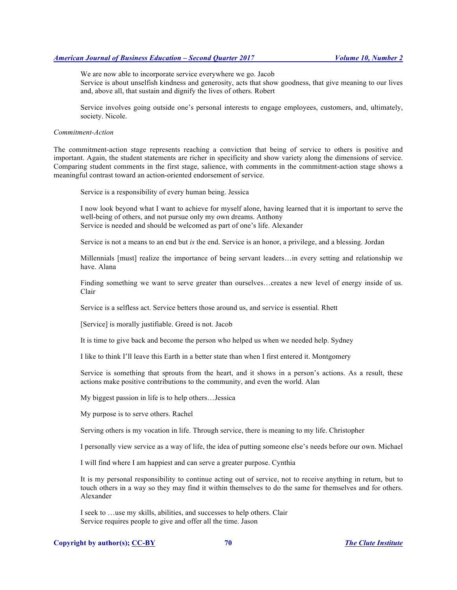We are now able to incorporate service everywhere we go. Jacob Service is about unselfish kindness and generosity, acts that show goodness, that give meaning to our lives and, above all, that sustain and dignify the lives of others. Robert

Service involves going outside one's personal interests to engage employees, customers, and, ultimately, society. Nicole.

#### *Commitment-Action*

The commitment-action stage represents reaching a conviction that being of service to others is positive and important. Again, the student statements are richer in specificity and show variety along the dimensions of service. Comparing student comments in the first stage, salience, with comments in the commitment-action stage shows a meaningful contrast toward an action-oriented endorsement of service.

Service is a responsibility of every human being. Jessica

I now look beyond what I want to achieve for myself alone, having learned that it is important to serve the well-being of others, and not pursue only my own dreams. Anthony Service is needed and should be welcomed as part of one's life. Alexander

Service is not a means to an end but *is* the end. Service is an honor, a privilege, and a blessing. Jordan

Millennials [must] realize the importance of being servant leaders…in every setting and relationship we have. Alana

Finding something we want to serve greater than ourselves…creates a new level of energy inside of us. Clair

Service is a selfless act. Service betters those around us, and service is essential. Rhett

[Service] is morally justifiable. Greed is not. Jacob

It is time to give back and become the person who helped us when we needed help. Sydney

I like to think I'll leave this Earth in a better state than when I first entered it. Montgomery

Service is something that sprouts from the heart, and it shows in a person's actions. As a result, these actions make positive contributions to the community, and even the world. Alan

My biggest passion in life is to help others…Jessica

My purpose is to serve others. Rachel

Serving others is my vocation in life. Through service, there is meaning to my life. Christopher

I personally view service as a way of life, the idea of putting someone else's needs before our own. Michael

I will find where I am happiest and can serve a greater purpose. Cynthia

It is my personal responsibility to continue acting out of service, not to receive anything in return, but to touch others in a way so they may find it within themselves to do the same for themselves and for others. Alexander

I seek to …use my skills, abilities, and successes to help others. Clair Service requires people to give and offer all the time. Jason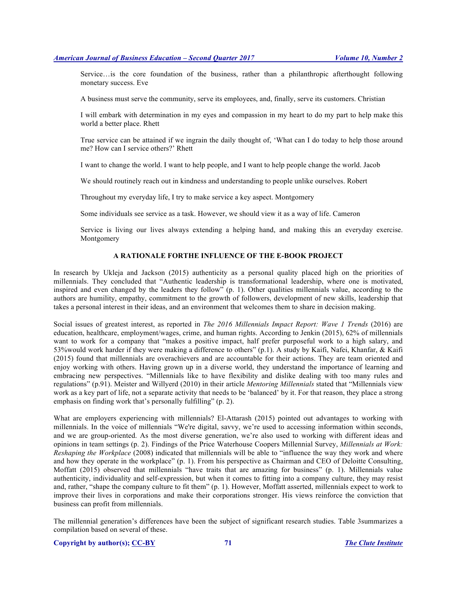Service…is the core foundation of the business, rather than a philanthropic afterthought following monetary success. Eve

A business must serve the community, serve its employees, and, finally, serve its customers. Christian

I will embark with determination in my eyes and compassion in my heart to do my part to help make this world a better place. Rhett

True service can be attained if we ingrain the daily thought of, 'What can I do today to help those around me? How can I service others?' Rhett

I want to change the world. I want to help people, and I want to help people change the world. Jacob

We should routinely reach out in kindness and understanding to people unlike ourselves. Robert

Throughout my everyday life, I try to make service a key aspect. Montgomery

Some individuals see service as a task. However, we should view it as a way of life. Cameron

Service is living our lives always extending a helping hand, and making this an everyday exercise. Montgomery

# **A RATIONALE FORTHE INFLUENCE OF THE E-BOOK PROJECT**

In research by Ukleja and Jackson (2015) authenticity as a personal quality placed high on the priorities of millennials. They concluded that "Authentic leadership is transformational leadership, where one is motivated, inspired and even changed by the leaders they follow" (p. 1). Other qualities millennials value, according to the authors are humility, empathy, commitment to the growth of followers, development of new skills, leadership that takes a personal interest in their ideas, and an environment that welcomes them to share in decision making.

Social issues of greatest interest, as reported in *The 2016 Millennials Impact Report: Wave 1 Trends* (2016) are education, healthcare, employment/wages, crime, and human rights. According to Jenkin (2015), 62% of millennials want to work for a company that "makes a positive impact, half prefer purposeful work to a high salary, and 53%would work harder if they were making a difference to others" (p.1). A study by Kaifi, Nafei, Khanfar, & Kaifi (2015) found that millennials are overachievers and are accountable for their actions. They are team oriented and enjoy working with others. Having grown up in a diverse world, they understand the importance of learning and embracing new perspectives. "Millennials like to have flexibility and dislike dealing with too many rules and regulations" (p.91). Meister and Willyerd (2010) in their article *Mentoring Millennials* stated that "Millennials view work as a key part of life, not a separate activity that needs to be 'balanced' by it. For that reason, they place a strong emphasis on finding work that's personally fulfilling" (p. 2).

What are employers experiencing with millennials? El-Attarash (2015) pointed out advantages to working with millennials. In the voice of millennials "We're digital, savvy, we're used to accessing information within seconds, and we are group-oriented. As the most diverse generation, we're also used to working with different ideas and opinions in team settings (p. 2). Findings of the Price Waterhouse Coopers Millennial Survey, *Millennials at Work: Reshaping the Workplace* (2008) indicated that millennials will be able to "influence the way they work and where and how they operate in the workplace" (p. 1). From his perspective as Chairman and CEO of Deloitte Consulting, Moffatt (2015) observed that millennials "have traits that are amazing for business" (p. 1). Millennials value authenticity, individuality and self-expression, but when it comes to fitting into a company culture, they may resist and, rather, "shape the company culture to fit them" (p. 1). However, Moffatt asserted, millennials expect to work to improve their lives in corporations and make their corporations stronger. His views reinforce the conviction that business can profit from millennials.

The millennial generation's differences have been the subject of significant research studies. Table 3summarizes a compilation based on several of these.

**Copyright by author(s); CC-BY 71** *The Clute Institute*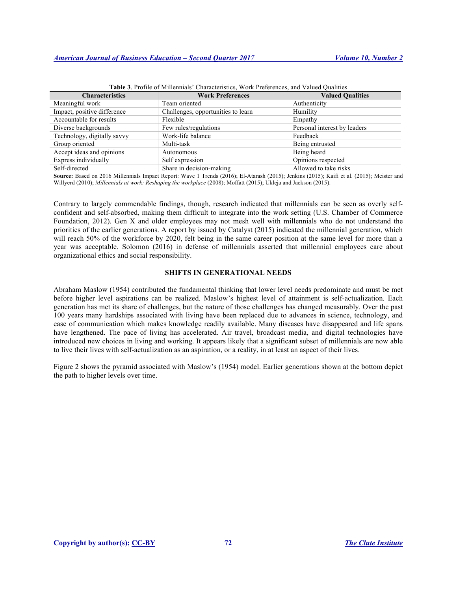| <b>Characteristics</b>      | <b>Work Preferences</b>            | <b>Valued Qualities</b>      |
|-----------------------------|------------------------------------|------------------------------|
| Meaningful work             | Team oriented                      | Authenticity                 |
| Impact, positive difference | Challenges, opportunities to learn | Humility                     |
| Accountable for results     | Flexible                           | Empathy                      |
| Diverse backgrounds         | Few rules/regulations              | Personal interest by leaders |
| Technology, digitally savvy | Work-life balance                  | Feedback                     |
| Group oriented              | Multi-task                         | Being entrusted              |
| Accept ideas and opinions   | Autonomous                         | Being heard                  |
| Express individually        | Self expression                    | Opinions respected           |
| Self-directed               | Share in decision-making           | Allowed to take risks        |

**Table 3**. Profile of Millennials' Characteristics, Work Preferences, and Valued Qualities

**Source:** Based on 2016 Millennials Impact Report: Wave 1 Trends (2016); El-Atarash (2015); Jenkins (2015); Kaifi et al. (2015); Meister and Willyerd (2010); *Millennials at work: Reshaping the workplace* (2008); Moffatt (2015); Ukleja and Jackson (2015).

Contrary to largely commendable findings, though, research indicated that millennials can be seen as overly selfconfident and self-absorbed, making them difficult to integrate into the work setting (U.S. Chamber of Commerce Foundation, 2012). Gen X and older employees may not mesh well with millennials who do not understand the priorities of the earlier generations. A report by issued by Catalyst (2015) indicated the millennial generation, which will reach 50% of the workforce by 2020, felt being in the same career position at the same level for more than a year was acceptable. Solomon (2016) in defense of millennials asserted that millennial employees care about organizational ethics and social responsibility.

# **SHIFTS IN GENERATIONAL NEEDS**

Abraham Maslow (1954) contributed the fundamental thinking that lower level needs predominate and must be met before higher level aspirations can be realized. Maslow's highest level of attainment is self-actualization. Each generation has met its share of challenges, but the nature of those challenges has changed measurably. Over the past 100 years many hardships associated with living have been replaced due to advances in science, technology, and ease of communication which makes knowledge readily available. Many diseases have disappeared and life spans have lengthened. The pace of living has accelerated. Air travel, broadcast media, and digital technologies have introduced new choices in living and working. It appears likely that a significant subset of millennials are now able to live their lives with self-actualization as an aspiration, or a reality, in at least an aspect of their lives.

Figure 2 shows the pyramid associated with Maslow's (1954) model. Earlier generations shown at the bottom depict the path to higher levels over time.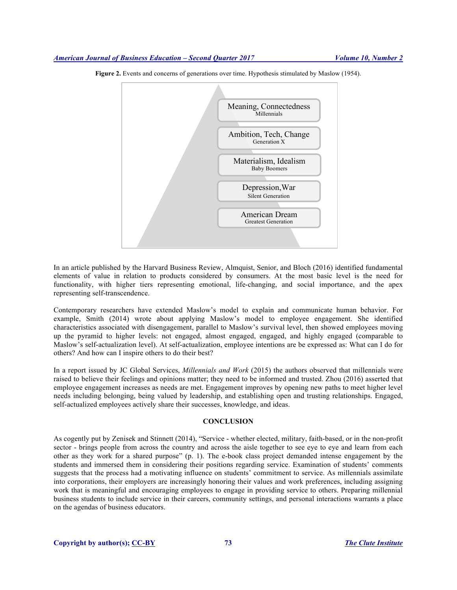

**Figure 2.** Events and concerns of generations over time. Hypothesis stimulated by Maslow (1954).

In an article published by the Harvard Business Review, Almquist, Senior, and Bloch (2016) identified fundamental elements of value in relation to products considered by consumers. At the most basic level is the need for functionality, with higher tiers representing emotional, life-changing, and social importance, and the apex representing self-transcendence.

Contemporary researchers have extended Maslow's model to explain and communicate human behavior. For example, Smith (2014) wrote about applying Maslow's model to employee engagement. She identified characteristics associated with disengagement, parallel to Maslow's survival level, then showed employees moving up the pyramid to higher levels: not engaged, almost engaged, engaged, and highly engaged (comparable to Maslow's self-actualization level). At self-actualization, employee intentions are be expressed as: What can I do for others? And how can I inspire others to do their best?

In a report issued by JC Global Services, *Millennials and Work* (2015) the authors observed that millennials were raised to believe their feelings and opinions matter; they need to be informed and trusted. Zhou (2016) asserted that employee engagement increases as needs are met. Engagement improves by opening new paths to meet higher level needs including belonging, being valued by leadership, and establishing open and trusting relationships. Engaged, self-actualized employees actively share their successes, knowledge, and ideas.

# **CONCLUSION**

As cogently put by Zenisek and Stinnett (2014), "Service - whether elected, military, faith-based, or in the non-profit sector - brings people from across the country and across the aisle together to see eye to eye and learn from each other as they work for a shared purpose" (p. 1). The e-book class project demanded intense engagement by the students and immersed them in considering their positions regarding service. Examination of students' comments suggests that the process had a motivating influence on students' commitment to service. As millennials assimilate into corporations, their employers are increasingly honoring their values and work preferences, including assigning work that is meaningful and encouraging employees to engage in providing service to others. Preparing millennial business students to include service in their careers, community settings, and personal interactions warrants a place on the agendas of business educators.